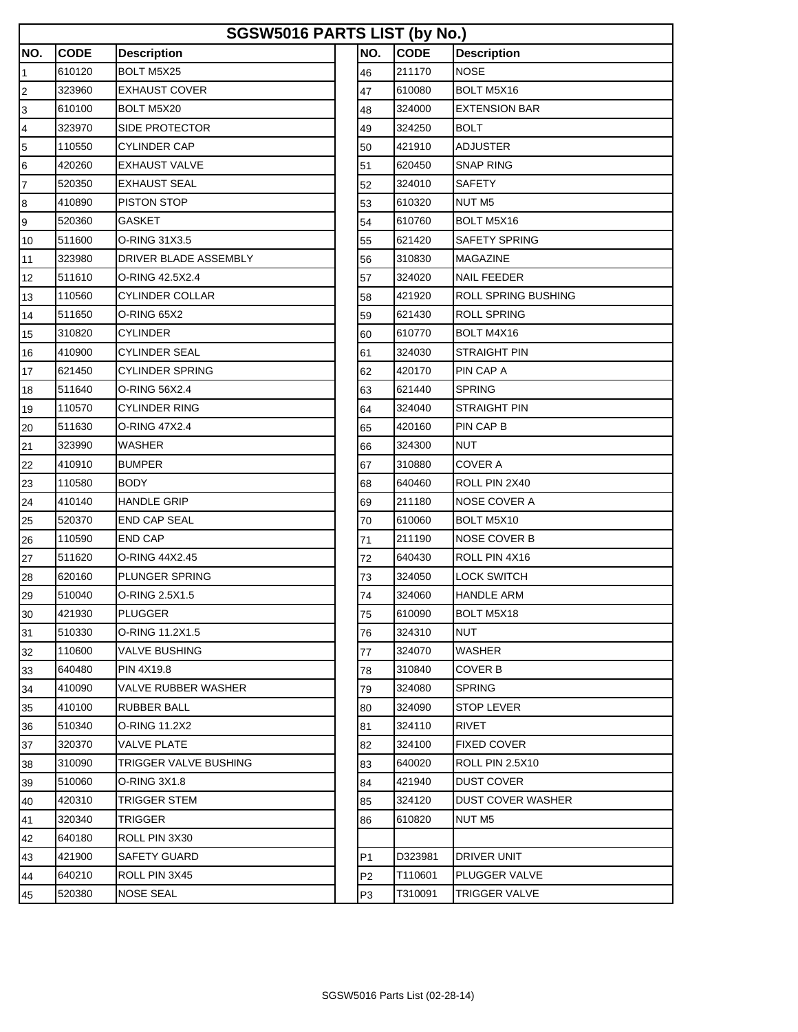| SGSW5016 PARTS LIST (by No.) |             |                       |  |                |             |                      |  |  |  |  |  |
|------------------------------|-------------|-----------------------|--|----------------|-------------|----------------------|--|--|--|--|--|
| NO.                          | <b>CODE</b> | <b>Description</b>    |  | NO.            | <b>CODE</b> | <b>Description</b>   |  |  |  |  |  |
| $\overline{1}$               | 610120      | <b>BOLT M5X25</b>     |  | 46             | 211170      | <b>NOSE</b>          |  |  |  |  |  |
| $\overline{c}$               | 323960      | <b>EXHAUST COVER</b>  |  | 47             | 610080      | BOLT M5X16           |  |  |  |  |  |
| 3                            | 610100      | BOLT M5X20            |  | 48             | 324000      | <b>EXTENSION BAR</b> |  |  |  |  |  |
| $\overline{\mathbf{r}}$      | 323970      | SIDE PROTECTOR        |  | 49             | 324250      | <b>BOLT</b>          |  |  |  |  |  |
| $\overline{5}$               | 110550      | <b>CYLINDER CAP</b>   |  | 50             | 421910      | <b>ADJUSTER</b>      |  |  |  |  |  |
| $6\phantom{.}6$              | 420260      | <b>EXHAUST VALVE</b>  |  | 51             | 620450      | <b>SNAP RING</b>     |  |  |  |  |  |
| $\overline{7}$               | 520350      | <b>EXHAUST SEAL</b>   |  | 52             | 324010      | SAFETY               |  |  |  |  |  |
| 8                            | 410890      | PISTON STOP           |  | 53             | 610320      | NUT M <sub>5</sub>   |  |  |  |  |  |
| 9                            | 520360      | GASKET                |  | 54             | 610760      | BOLT M5X16           |  |  |  |  |  |
| 10                           | 511600      | O-RING 31X3.5         |  | 55             | 621420      | SAFETY SPRING        |  |  |  |  |  |
| 11                           | 323980      | DRIVER BLADE ASSEMBLY |  | 56             | 310830      | <b>MAGAZINE</b>      |  |  |  |  |  |
| 12                           | 511610      | O-RING 42.5X2.4       |  | 57             | 324020      | NAIL FEEDER          |  |  |  |  |  |
| 13                           | 110560      | CYLINDER COLLAR       |  | 58             | 421920      | ROLL SPRING BUSHING  |  |  |  |  |  |
| 14                           | 511650      | O-RING 65X2           |  | 59             | 621430      | <b>ROLL SPRING</b>   |  |  |  |  |  |
| 15                           | 310820      | CYLINDER              |  | 60             | 610770      | BOLT M4X16           |  |  |  |  |  |
| 16                           | 410900      | <b>CYLINDER SEAL</b>  |  | 61             | 324030      | <b>STRAIGHT PIN</b>  |  |  |  |  |  |
| 17                           | 621450      | CYLINDER SPRING       |  | 62             | 420170      | PIN CAP A            |  |  |  |  |  |
| 18                           | 511640      | O-RING 56X2.4         |  | 63             | 621440      | SPRING               |  |  |  |  |  |
| 19                           | 110570      | CYLINDER RING         |  | 64             | 324040      | <b>STRAIGHT PIN</b>  |  |  |  |  |  |
| 20                           | 511630      | O-RING 47X2.4         |  | 65             | 420160      | PIN CAP B            |  |  |  |  |  |
| 21                           | 323990      | WASHER                |  | 66             | 324300      | NUT                  |  |  |  |  |  |
| 22                           | 410910      | <b>BUMPER</b>         |  | 67             | 310880      | COVER A              |  |  |  |  |  |
| 23                           | 110580      | BODY                  |  | 68             | 640460      | ROLL PIN 2X40        |  |  |  |  |  |
| 24                           | 410140      | <b>HANDLE GRIP</b>    |  | 69             | 211180      | <b>NOSE COVER A</b>  |  |  |  |  |  |
| 25                           | 520370      | END CAP SEAL          |  | 70             | 610060      | BOLT M5X10           |  |  |  |  |  |
| 26                           | 110590      | END CAP               |  | 71             | 211190      | <b>NOSE COVER B</b>  |  |  |  |  |  |
| 27                           | 511620      | O-RING 44X2.45        |  | 72             | 640430      | ROLL PIN 4X16        |  |  |  |  |  |
| 28                           | 620160      | PLUNGER SPRING        |  | 73             | 324050      | LOCK SWITCH          |  |  |  |  |  |
| 29                           | 510040      | O-RING 2.5X1.5        |  | 74             | 324060      | <b>HANDLE ARM</b>    |  |  |  |  |  |
| 30                           | 421930      | <b>PLUGGER</b>        |  | 75             | 610090      | BOLT M5X18           |  |  |  |  |  |
| 31                           | 510330      | O-RING 11.2X1.5       |  | 76             | 324310      | NUT                  |  |  |  |  |  |
| 32                           | 110600      | VALVE BUSHING         |  | 77             | 324070      | WASHER               |  |  |  |  |  |
| 33                           | 640480      | PIN 4X19.8            |  | 78             | 310840      | COVER B              |  |  |  |  |  |
| 34                           | 410090      | VALVE RUBBER WASHER   |  | 79             | 324080      | SPRING               |  |  |  |  |  |
| 35                           | 410100      | RUBBER BALL           |  | 80             | 324090      | STOP LEVER           |  |  |  |  |  |
| 36                           | 510340      | O-RING 11.2X2         |  | 81             | 324110      | <b>RIVET</b>         |  |  |  |  |  |
| 37                           | 320370      | VALVE PLATE           |  | 82             | 324100      | <b>FIXED COVER</b>   |  |  |  |  |  |
| 38                           | 310090      | TRIGGER VALVE BUSHING |  | 83             | 640020      | ROLL PIN 2.5X10      |  |  |  |  |  |
| 39                           | 510060      | O-RING 3X1.8          |  | 84             | 421940      | DUST COVER           |  |  |  |  |  |
| 40                           | 420310      | TRIGGER STEM          |  | 85             | 324120      | DUST COVER WASHER    |  |  |  |  |  |
| 41                           | 320340      | TRIGGER               |  | 86             | 610820      | NUT M5               |  |  |  |  |  |
| 42                           | 640180      | ROLL PIN 3X30         |  |                |             |                      |  |  |  |  |  |
| 43                           | 421900      | SAFETY GUARD          |  | P1             | D323981     | DRIVER UNIT          |  |  |  |  |  |
| 44                           | 640210      | ROLL PIN 3X45         |  | P <sub>2</sub> | T110601     | PLUGGER VALVE        |  |  |  |  |  |
| 45                           | 520380      | <b>NOSE SEAL</b>      |  | P3             | T310091     | <b>TRIGGER VALVE</b> |  |  |  |  |  |